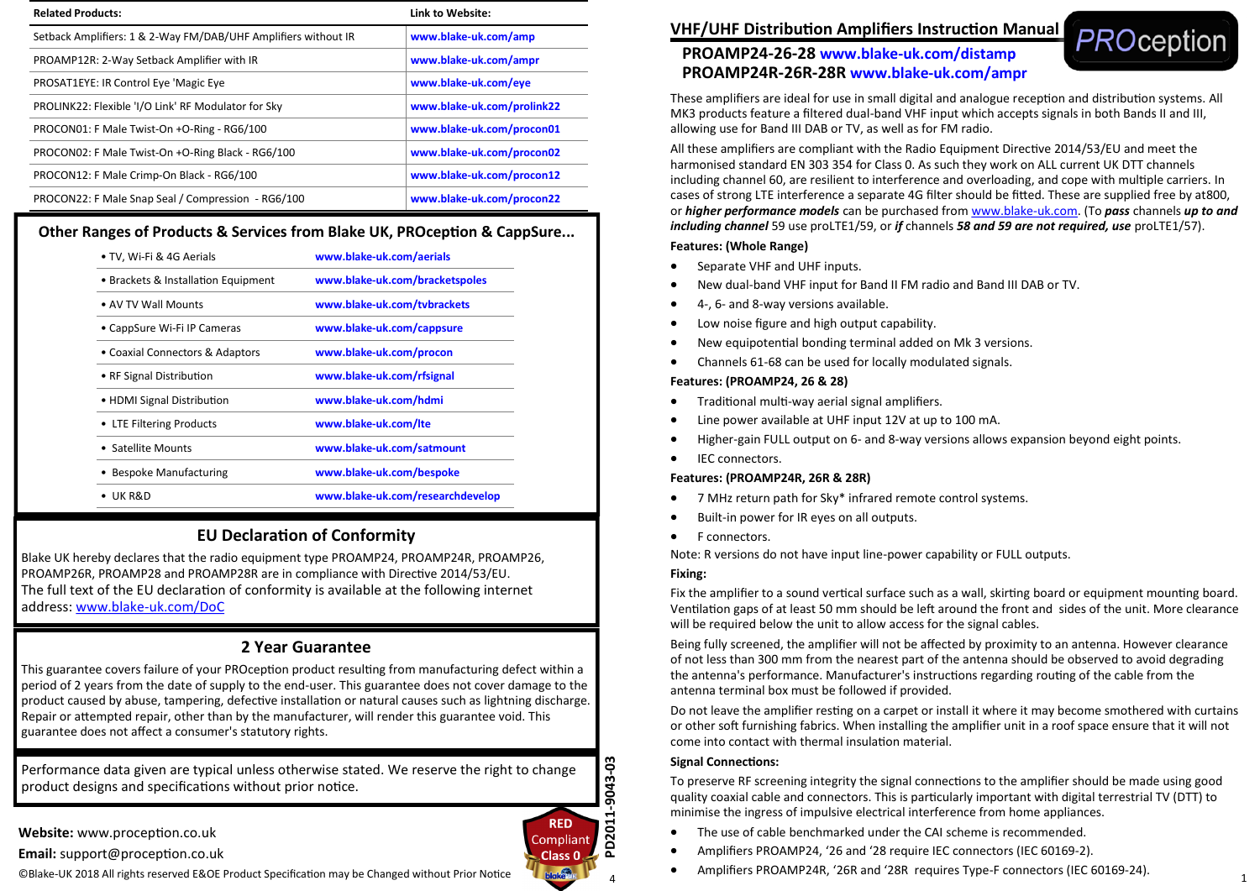| <b>Related Products:</b>                                       | Link to Website:           |  |
|----------------------------------------------------------------|----------------------------|--|
| Setback Amplifiers: 1 & 2-Way FM/DAB/UHF Amplifiers without IR | www.blake-uk.com/amp       |  |
| PROAMP12R: 2-Way Setback Amplifier with IR                     | www.blake-uk.com/ampr      |  |
| PROSAT1EYE: IR Control Eye 'Magic Eye                          | www.blake-uk.com/eye       |  |
| PROLINK22: Flexible 'I/O Link' RF Modulator for Sky            | www.blake-uk.com/prolink22 |  |
| PROCON01: F Male Twist-On +O-Ring - RG6/100                    | www.blake-uk.com/procon01  |  |
| PROCON02: F Male Twist-On +O-Ring Black - RG6/100              | www.blake-uk.com/procon02  |  |
| PROCON12: F Male Crimp-On Black - RG6/100                      | www.blake-uk.com/procon12  |  |
| PROCON22: F Male Snap Seal / Compression - RG6/100             | www.blake-uk.com/procon22  |  |

# **Other Ranges of Products & Services from Blake UK, PROception & CappSure...**

| • TV, Wi-Fi & 4G Aerials            | www.blake-uk.com/aerials         |  |
|-------------------------------------|----------------------------------|--|
| • Brackets & Installation Equipment | www.blake-uk.com/bracketspoles   |  |
| • AV TV Wall Mounts                 | www.blake-uk.com/tvbrackets      |  |
| • CappSure Wi-Fi IP Cameras         | www.blake-uk.com/cappsure        |  |
| • Coaxial Connectors & Adaptors     | www.blake-uk.com/procon          |  |
| • RF Signal Distribution            | www.blake-uk.com/rfsignal        |  |
| • HDMI Signal Distribution          | www.blake-uk.com/hdmi            |  |
| • LTE Filtering Products            | www.blake-uk.com/Ite             |  |
| • Satellite Mounts                  | www.blake-uk.com/satmount        |  |
| <b>Bespoke Manufacturing</b>        | www.blake-uk.com/bespoke         |  |
| UK R&D                              | www.blake-uk.com/researchdevelop |  |
|                                     |                                  |  |

# **EU Declaration of Conformity**

Blake UK hereby declares that the radio equipment type PROAMP24, PROAMP24R, PROAMP26, PROAMP26R, PROAMP28 and PROAMP28R are in compliance with Directive 2014/53/EU. The full text of the EU declaration of conformity is available at the following internet address: www.blake-[uk.com/DoC](http://www.blake-uk.com/DoC)

# **2 Year Guarantee**

This guarantee covers failure of your PROception product resulting from manufacturing defect within a period of 2 years from the date of supply to the end-user. This guarantee does not cover damage to the product caused by abuse, tampering, defective installation or natural causes such as lightning discharge. Repair or attempted repair, other than by the manufacturer, will render this guarantee void. This guarantee does not affect a consumer's statutory rights.

Performance data given are typical unless otherwise stated. We reserve the right to change product designs and specifications without prior notice.

**Website:** www.proception.co.uk

**Email:** support@proception.co.uk

©Blake-UK 2018 All rights reserved E&OE Product Specification may be Changed without Prior Notice



# **PROAMP24-26-28 www.blake-uk.com/distamp PROAMP24R-26R-28R www.blake-uk.com/ampr**



These amplifiers are ideal for use in small digital and analogue reception and distribution systems. All MK3 products feature a filtered dual-band VHF input which accepts signals in both Bands II and III, allowing use for Band III DAB or TV, as well as for FM radio.

All these amplifiers are compliant with the Radio Equipment Directive 2014/53/EU and meet the harmonised standard EN 303 354 for Class 0. As such they work on ALL current UK DTT channels including channel 60, are resilient to interference and overloading, and cope with multiple carriers. In cases of strong LTE interference a separate 4G filter should be fitted. These are supplied free by at800, or *higher performance models* can be purchased from [www.blake](http://www.blake-uk.com)-uk.com. (To *pass* channels *up to and including channel* 59 use proLTE1/59, or *if* channels *58 and 59 are not required, use* proLTE1/57).

## **Features: (Whole Range)**

- Separate VHF and UHF inputs.
- New dual-band VHF input for Band II FM radio and Band III DAB or TV.
- 4-, 6- and 8-way versions available.
- Low noise figure and high output capability.
- New equipotential bonding terminal added on Mk 3 versions.
- Channels 61-68 can be used for locally modulated signals.

## **Features: (PROAMP24, 26 & 28)**

- Traditional multi-way aerial signal amplifiers.
- Line power available at UHF input 12V at up to 100 mA.
- Higher-gain FULL output on 6- and 8-way versions allows expansion beyond eight points.
- IEC connectors.

## **Features: (PROAMP24R, 26R & 28R)**

- 7 MHz return path for Sky\* infrared remote control systems.
- Built-in power for IR eyes on all outputs.
- F connectors.

Note: R versions do not have input line-power capability or FULL outputs.

## **Fixing:**

Fix the amplifier to a sound vertical surface such as a wall, skirting board or equipment mounting board. Ventilation gaps of at least 50 mm should be left around the front and sides of the unit. More clearance will be required below the unit to allow access for the signal cables.

Being fully screened, the amplifier will not be affected by proximity to an antenna. However clearance of not less than 300 mm from the nearest part of the antenna should be observed to avoid degrading the antenna's performance. Manufacturer's instructions regarding routing of the cable from the antenna terminal box must be followed if provided.

Do not leave the amplifier resting on a carpet or install it where it may become smothered with curtains or other soft furnishing fabrics. When installing the amplifier unit in a roof space ensure that it will not come into contact with thermal insulation material.

## **Signal Connections:**

To preserve RF screening integrity the signal connections to the amplifier should be made using good quality coaxial cable and connectors. This is particularly important with digital terrestrial TV (DTT) to minimise the ingress of impulsive electrical interference from home appliances.

- The use of cable benchmarked under the CAI scheme is recommended.
- Amplifiers PROAMP24, '26 and '28 require IEC connectors (IEC 60169-2).
- Amplifiers PROAMP24R, '26R and '28R requires Type-F connectors (IEC 60169-24).